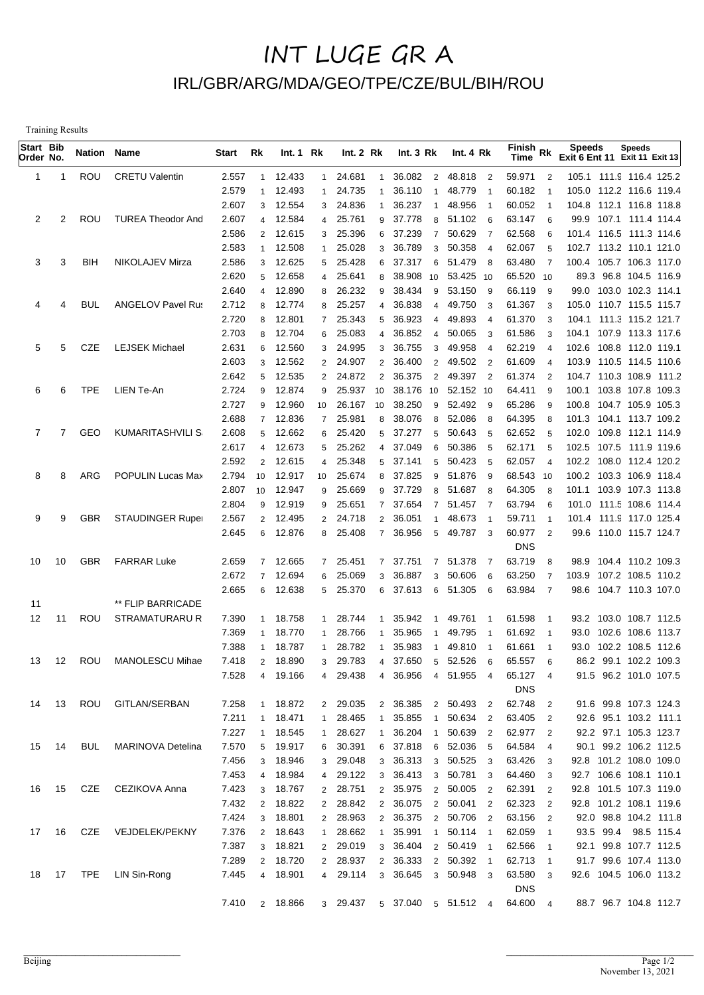## INT LUGE GR A IRL/GBR/ARG/MDA/GEO/TPE/CZE/BUL/BIH/ROU

Training Results

| Start Bib<br>Order No. |                | Nation Name |                          | Start | Rk             | Int.1 Rk |                | Int. 2 Rk |                          | Int.3 Rk                   | Int. 4 Rk  |                            | $F^{\text{in}}$ Rk<br>Time |                          | <b>Speeds</b><br>Exit 6 Ent 11 Exit 11 Exit 13 | <b>Speeds</b>         |  |
|------------------------|----------------|-------------|--------------------------|-------|----------------|----------|----------------|-----------|--------------------------|----------------------------|------------|----------------------------|----------------------------|--------------------------|------------------------------------------------|-----------------------|--|
| 1                      | -1             | <b>ROU</b>  | <b>CRETU Valentin</b>    | 2.557 |                | 1 12.433 | $\mathbf{1}$   | 24.681    | $\overline{1}$           | 36.082                     | 2 48.818   | $\overline{\phantom{0}}^2$ | 59.971                     | $\overline{2}$           | 105.1 111.9 116.4 125.2                        |                       |  |
|                        |                |             |                          | 2.579 | $\mathbf{1}$   | 12.493   | 1              | 24.735    |                          | 36.110<br>$\mathbf{1}$     | 48.779     |                            | 60.182                     | $\overline{1}$           | 105.0 112.2 116.6 119.4                        |                       |  |
|                        |                |             |                          | 2.607 |                | 3 12.554 | 3              | 24.836    |                          | 36.237<br>-1               | 48.956     | $\overline{1}$             | 60.052                     | $\overline{1}$           | 104.8 112.1 116.8 118.8                        |                       |  |
| 2                      | 2              | ROU         | <b>TUREA Theodor And</b> | 2.607 | $\overline{4}$ | 12.584   | 4              | 25.761    | 9                        | 37.778<br>8                | 51.102 6   |                            | 63.147                     | 6                        | 99.9 107.1 111.4 114.4                         |                       |  |
|                        |                |             |                          | 2.586 | $\overline{2}$ | 12.615   | 3              | 25.396    | 6                        | 37.239<br>$\overline{7}$   | 50.629     | $\overline{7}$             | 62.568                     | 6                        | 101.4 116.5 111.3 114.6                        |                       |  |
|                        |                |             |                          | 2.583 | $\mathbf{1}$   | 12.508   |                | 25.028    | 3                        | 36.789<br>3                | 50.358     | $\overline{4}$             | 62.067                     | 5                        | 102.7 113.2 110.1 121.0                        |                       |  |
| 3                      | 3              | <b>BIH</b>  | NIKOLAJEV Mirza          | 2.586 | 3              | 12.625   | 5              | 25.428    | 6                        | 37.317<br>6                | 51.479     | - 8                        | 63.480                     | $\overline{7}$           | 100.4 105.7 106.3 117.0                        |                       |  |
|                        |                |             |                          | 2.620 | 5              | 12.658   | 4              | 25.641    | 8                        | 38.908<br>10               | 53.425 10  |                            | 65.520 10                  |                          |                                                | 89.3 96.8 104.5 116.9 |  |
|                        |                |             |                          | 2.640 | $\overline{4}$ | 12.890   | 8              | 26.232    | 9                        | 38.434<br>9                | 53.150     | - 9                        | 66.119                     | 9                        | 99.0 103.0 102.3 114.1                         |                       |  |
| 4                      | 4              | BUL         | <b>ANGELOV Pavel Rus</b> | 2.712 | 8              | 12.774   | 8              | 25.257    | 4                        | 36.838<br>4                | 49.750     | - 3                        | 61.367                     | 3                        | 105.0 110.7 115.5 115.7                        |                       |  |
|                        |                |             |                          | 2.720 | 8              | 12.801   | $\overline{7}$ | 25.343    | 5                        | 36.923<br>$\overline{4}$   | 49.893     | $\overline{4}$             | 61.370                     | 3                        | 104.1 111.3 115.2 121.7                        |                       |  |
|                        |                |             |                          | 2.703 | 8              | 12.704   | 6              | 25.083    | $\overline{\mathcal{A}}$ | 36.852<br>$\overline{4}$   | 50.065     | - 3                        | 61.586                     | 3                        | 104.1 107.9 113.3 117.6                        |                       |  |
| 5                      | 5              | CZE         | <b>LEJSEK Michael</b>    | 2.631 | 6              | 12.560   | 3              | 24.995    | 3                        | 36.755<br>3                | 49.958     | $\overline{4}$             | 62.219                     |                          | 102.6 108.8 112.0 119.1                        |                       |  |
|                        |                |             |                          | 2.603 | 3              | 12.562   | $\overline{2}$ | 24.907    | $\overline{2}$           | 36.400<br>2                | 49.502     | $\overline{\phantom{0}}^2$ | 61.609                     | $\overline{4}$           | 103.9 110.5 114.5 110.6                        |                       |  |
|                        |                |             |                          | 2.642 | 5              | 12.535   | $\overline{2}$ | 24.872    | $\overline{2}$           | 36.375<br>$\overline{2}$   | 49.397 2   |                            | 61.374                     | $\overline{2}$           | 104.7 110.3 108.9 111.2                        |                       |  |
| 6                      | 6              | <b>TPE</b>  | LIEN Te-An               | 2.724 | 9              | 12.874   | 9              | 25.937    | 10                       | 38.176 10                  | 52.152 10  |                            | 64.411                     | 9                        | 100.1 103.8 107.8 109.3                        |                       |  |
|                        |                |             |                          | 2.727 | 9              | 12.960   | 10             | 26.167    | 10                       | 38.250<br>9                | 52.492 9   |                            | 65.286                     | 9                        | 100.8 104.7 105.9 105.3                        |                       |  |
|                        |                |             |                          | 2.688 | $\overline{7}$ | 12.836   | $\overline{7}$ | 25.981    | 8                        | 38.076<br>8                | 52.086     | - 8                        | 64.395                     | 8                        | 101.3 104.1 113.7 109.2                        |                       |  |
| 7                      | $\overline{7}$ | GEO         | <b>KUMARITASHVILI S</b>  | 2.608 | 5              | 12.662   | 6              | 25.420    | 5                        | 37.277<br>5                | 50.643     | 5                          | 62.652                     | 5                        | 102.0 109.8 112.1 114.9                        |                       |  |
|                        |                |             |                          | 2.617 | $\overline{4}$ | 12.673   | 5              | 25.262    | $\overline{4}$           | 37.049<br>6                | 50.386     | 5                          | 62.171                     | 5                        | 102.5 107.5 111.9 119.6                        |                       |  |
|                        |                |             |                          | 2.592 | $\overline{2}$ | 12.615   | 4              | 25.348    | 5                        | 37.141<br>5                | 50.423     | - 5                        | 62.057                     | $\overline{4}$           | 102.2 108.0 112.4 120.2                        |                       |  |
| 8                      | 8              | ARG         | POPULIN Lucas Max        | 2.794 | 10             | 12.917   | 10             | 25.674    | 8                        | 37.825<br>9                | 51.876     | - 9                        | 68.543 10                  |                          | 100.2 103.3 106.9 118.4                        |                       |  |
|                        |                |             |                          | 2.807 | 10             | 12.947   | 9              | 25.669    | 9                        | 37.729<br>8                | 51.687     | - 8                        | 64.305                     | 8                        | 101.1 103.9 107.3 113.8                        |                       |  |
|                        |                |             |                          | 2.804 | 9              | 12.919   | 9              | 25.651    | $\overline{7}$           | 37.654<br>$\overline{7}$   | 51.457     | $\overline{7}$             | 63.794                     | 6                        | 101.0 111.5 108.6 114.4                        |                       |  |
| 9                      | 9              | <b>GBR</b>  | <b>STAUDINGER Ruper</b>  | 2.567 | $\overline{2}$ | 12.495   | $\overline{2}$ | 24.718    | $\overline{2}$           | 36.051<br>1                | 48.673     | $\overline{1}$             | 59.711                     | $\overline{1}$           | 101.4 111.9 117.0 125.4                        |                       |  |
|                        |                |             |                          | 2.645 | 6              | 12.876   | 8              | 25.408    | $\overline{7}$           | 36.956<br>5                | 49.787     | $\overline{\mathbf{3}}$    | 60.977                     | $\overline{2}$           | 99.6 110.0 115.7 124.7                         |                       |  |
|                        |                |             |                          |       |                |          |                |           |                          |                            |            |                            | <b>DNS</b>                 |                          |                                                |                       |  |
| 10                     | 10             | <b>GBR</b>  | <b>FARRAR Luke</b>       | 2.659 | $\overline{7}$ | 12.665   |                | 7 25.451  | $\overline{7}$           | 37.751<br>$\overline{7}$   | 51.378     | $\overline{7}$             | 63.719                     | 8                        | 98.9 104.4 110.2 109.3                         |                       |  |
|                        |                |             |                          | 2.672 | $\overline{7}$ | 12.694   | 6              | 25.069    | 3                        | 36.887<br>3                | 50.606     | 6                          | 63.250                     | 7                        | 103.9 107.2 108.5 110.2                        |                       |  |
|                        |                |             | ** FLIP BARRICADE        | 2.665 | 6              | 12.638   |                | 5 25.370  | 6                        | 37.613<br>6                | 51.305     | - 6                        | 63.984                     | $\overline{7}$           | 98.6 104.7 110.3 107.0                         |                       |  |
| 11<br>12               | 11             | ROU         | STRAMATURARU R           | 7.390 | $\overline{1}$ | 18.758   | 1              | 28.744    | -1                       | 35.942<br>1                | 49.761     |                            | 61.598                     | -1                       | 93.2 103.0 108.7 112.5                         |                       |  |
|                        |                |             |                          | 7.369 | $\overline{1}$ | 18.770   | $\mathbf{1}$   | 28.766    |                          | 35.965<br>$\mathbf 1$      | 49.795     | -1                         | 61.692                     | $\mathbf{1}$             | 93.0                                           | 102.6 108.6 113.7     |  |
|                        |                |             |                          | 7.388 | -1             | 18.787   |                | 28.782    |                          | 35.983<br>1                | 49.810     | -1                         | 61.661                     | $\mathbf{1}$             | 93.0 102.2 108.5 112.6                         |                       |  |
| 13                     | 12             | ROU         | MANOLESCU Mihae          | 7.418 | $\overline{2}$ | 18.890   | 3              | 29.783    | 4                        | 37.650                     | 5 52.526   | - 6                        | 65.557                     | 6                        |                                                | 86.2 99.1 102.2 109.3 |  |
|                        |                |             |                          | 7.528 |                | 4 19.166 |                | 4 29.438  | $\overline{4}$           | 36.956 4 51.955 4          |            |                            | 65.127                     | $\overline{4}$           |                                                | 91.5 96.2 101.0 107.5 |  |
|                        |                |             |                          |       |                |          |                |           |                          |                            |            |                            | <b>DNS</b>                 |                          |                                                |                       |  |
| 14                     | 13             | ROU         | GITLAN/SERBAN            | 7.258 | $\mathbf{1}$   | 18.872   |                | 2 29.035  |                          | 2 36.385                   | 2 50.493   | $\overline{2}$             | 62.748                     | $\overline{2}$           |                                                | 91.6 99.8 107.3 124.3 |  |
|                        |                |             |                          | 7.211 | $\mathbf{1}$   | 18.471   | 1              | 28.465    |                          | 1 35.855<br>$\overline{1}$ | 50.634 2   |                            | 63.405 2                   |                          |                                                | 92.6 95.1 103.2 111.1 |  |
|                        |                |             |                          | 7.227 | $\mathbf{1}$   | 18.545   | 1              | 28.627    |                          | 1 36.204                   | 1 50.639 2 |                            | 62.977 2                   |                          |                                                | 92.2 97.1 105.3 123.7 |  |
| 15                     | 14             | <b>BUL</b>  | <b>MARINOVA Detelina</b> | 7.570 | 5              | 19.917   |                | 6 30.391  |                          | 6 37.818                   | 6 52.036 5 |                            | 64.584                     | $\overline{4}$           |                                                | 90.1 99.2 106.2 112.5 |  |
|                        |                |             |                          | 7.456 | 3              | 18.946   |                | 3 29.048  |                          | 3 36.313                   | 3 50.525 3 |                            | 63.426                     | 3                        | 92.8 101.2 108.0 109.0                         |                       |  |
|                        |                |             |                          | 7.453 | $\overline{4}$ | 18.984   | 4              | 29.122    |                          | 3 36.413                   | 3 50.781 3 |                            | 64.460                     | 3                        | 92.7 106.6 108.1 110.1                         |                       |  |
| 16                     | 15             | CZE         | CEZIKOVA Anna            | 7.423 | 3              | 18.767   |                | 2 28.751  |                          | 2 35.975                   | 2 50.005 2 |                            | 62.391 2                   |                          | 92.8 101.5 107.3 119.0                         |                       |  |
|                        |                |             |                          | 7.432 | $\overline{2}$ | 18.822   |                | 2 28.842  |                          | 2 36.075                   | 2 50.041 2 |                            | 62.323                     | $\overline{2}$           | 92.8 101.2 108.1 119.6                         |                       |  |
|                        |                |             |                          | 7.424 | 3              | 18.801   |                | 2 28.963  |                          | 2 36.375                   | 2 50.706 2 |                            | 63.156                     | $\overline{\phantom{a}}$ |                                                | 92.0 98.8 104.2 111.8 |  |
| 17                     | 16             | CZE         | VEJDELEK/PEKNY           | 7.376 | $\overline{2}$ | 18.643   | 1              | 28.662    |                          | 1 35.991 1 50.114 1        |            |                            | 62.059                     | $\overline{\phantom{0}}$ |                                                | 93.5 99.4 98.5 115.4  |  |
|                        |                |             |                          | 7.387 | $\mathbf{3}$   | 18.821   | $2^{\circ}$    | 29.019    |                          | 3 36.404                   | 2 50.419 1 |                            | 62.566                     | $\overline{1}$           |                                                | 92.1 99.8 107.7 112.5 |  |
|                        |                |             |                          | 7.289 | $\overline{2}$ | 18.720   | $2^{\circ}$    | 28.937    |                          | 2 36.333                   | 2 50.392 1 |                            | 62.713                     | $\overline{1}$           |                                                | 91.7 99.6 107.4 113.0 |  |
| 18                     | 17             |             | TPE LIN Sin-Rong         | 7.445 | $\overline{4}$ | 18.901   | 4              | 29.114    | 3                        | 36.645                     | 3 50.948 3 |                            | 63.580                     | 3                        | 92.6 104.5 106.0 113.2                         |                       |  |
|                        |                |             |                          |       |                |          |                |           |                          |                            |            |                            | <b>DNS</b>                 |                          |                                                |                       |  |
|                        |                |             |                          | 7.410 |                | 2 18.866 |                | 3 29.437  |                          | 5 37.040 5 51.512 4        |            |                            | 64.600 4                   |                          |                                                | 88.7 96.7 104.8 112.7 |  |
|                        |                |             |                          |       |                |          |                |           |                          |                            |            |                            |                            |                          |                                                |                       |  |